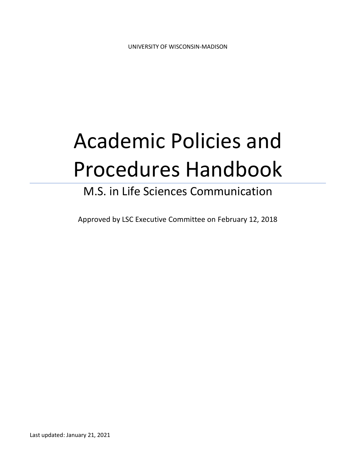# Academic Policies and Procedures Handbook

# M.S. in Life Sciences Communication

Approved by LSC Executive Committee on February 12, 2018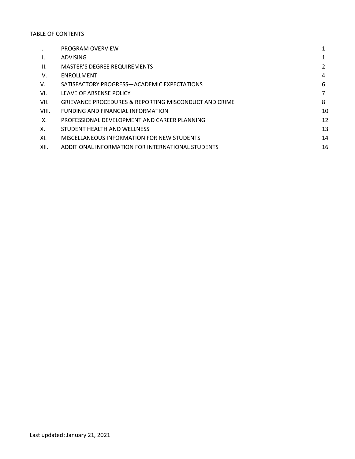#### TABLE OF CONTENTS

| I.    | PROGRAM OVERVIEW                                      |    |
|-------|-------------------------------------------------------|----|
| Ш.    | <b>ADVISING</b>                                       |    |
| III.  | <b>MASTER'S DEGREE REQUIREMENTS</b>                   | 2  |
| IV.   | ENROLLMENT                                            | 4  |
| V.    | SATISFACTORY PROGRESS-ACADEMIC EXPECTATIONS           | 6  |
| VI.   | LEAVE OF ABSENSE POLICY                               | 7  |
| VII.  | GRIEVANCE PROCEDURES & REPORTING MISCONDUCT AND CRIME | 8  |
| VIII. | FUNDING AND FINANCIAL INFORMATION                     | 10 |
| IX.   | PROFESSIONAL DEVELOPMENT AND CAREER PLANNING          | 12 |
| Χ.    | STUDENT HEALTH AND WELLNESS                           | 13 |
| XI.   | MISCELLANEOUS INFORMATION FOR NEW STUDENTS            | 14 |
| XII.  | ADDITIONAL INFORMATION FOR INTERNATIONAL STUDENTS     | 16 |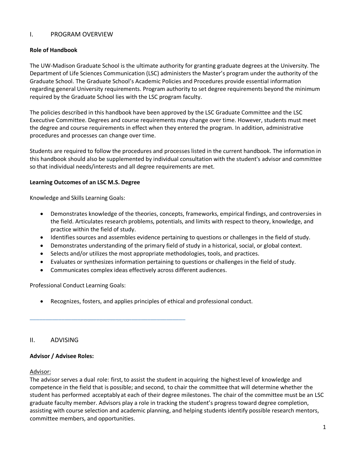# I. PROGRAM OVERVIEW

#### **Role of Handbook**

The UW-Madison Graduate School is the ultimate authority for granting graduate degrees at the University. The Department of Life Sciences Communication (LSC) administers the Master's program under the authority of the Graduate School. The Graduate School's Academic Policies and Procedures provide essential information regarding general University requirements. Program authority to set degree requirements beyond the minimum required by the Graduate School lies with the LSC program faculty.

The policies described in this handbook have been approved by the LSC Graduate Committee and the LSC Executive Committee. Degrees and course requirements may change over time. However, students must meet the degree and course requirements in effect when they entered the program. In addition, administrative procedures and processes can change over time.

Students are required to follow the procedures and processes listed in the current handbook. The information in this handbook should also be supplemented by individual consultation with the student's advisor and committee so that individual needs/interests and all degree requirements are met.

#### **Learning Outcomes of an LSC M.S. Degree**

Knowledge and Skills Learning Goals:

- Demonstrates knowledge of the theories, concepts, frameworks, empirical findings, and controversies in the field. Articulates research problems, potentials, and limits with respect to theory, knowledge, and practice within the field of study.
- Identifies sources and assembles evidence pertaining to questions or challenges in the field of study.
- Demonstrates understanding of the primary field of study in a historical, social, or global context.
- Selects and/or utilizes the most appropriate methodologies, tools, and practices.
- Evaluates or synthesizes information pertaining to questions or challenges in the field of study.
- Communicates complex ideas effectively across different audiences.

\_\_\_\_\_\_\_\_\_\_\_\_\_\_\_\_\_\_\_\_\_\_\_\_\_\_\_\_\_\_\_\_\_\_\_\_\_\_\_\_\_\_\_\_\_\_\_\_\_

Professional Conduct Learning Goals:

• Recognizes, fosters, and applies principles of ethical and professional conduct.

# II. ADVISING

#### **Advisor / Advisee Roles:**

#### Advisor:

The advisor serves a dual role: first, to assist the student in acquiring the highest level of knowledge and competence in the field that is possible; and second, to chair the committee that will determine whether the student has performed acceptably at each of their degree milestones. The chair of the committee must be an LSC graduate faculty member. Advisors play a role in tracking the student's progress toward degree completion, assisting with course selection and academic planning, and helping students identify possible research mentors, committee members, and opportunities.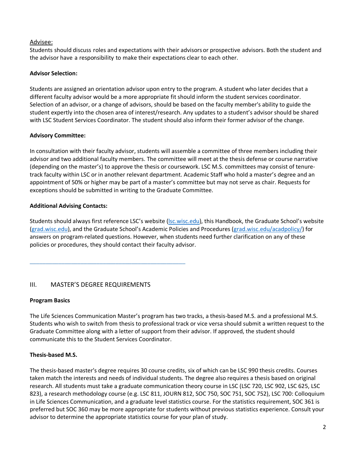# Advisee:

Students should discuss roles and expectations with their advisors or prospective advisors. Both the student and the advisor have a responsibility to make their expectations clear to each other.

# **Advisor Selection:**

Students are assigned an orientation advisor upon entry to the program. A student who later decides that a different faculty advisor would be a more appropriate fit should inform the student services coordinator. Selection of an advisor, or a change of advisors, should be based on the faculty member's ability to guide the student expertly into the chosen area of interest/research. Any updates to a student's advisor should be shared with LSC Student Services Coordinator. The student should also inform their former advisor of the change.

# **Advisory Committee:**

In consultation with their faculty advisor, students will assemble a committee of three members including their advisor and two additional faculty members. The committee will meet at the thesis defense or course narrative (depending on the master's) to approve the thesis or coursework. LSC M.S. committees may consist of tenuretrack faculty within LSC or in another relevant department. Academic Staff who hold a master's degree and an appointment of 50% or higher may be part of a master's committee but may not serve as chair. Requests for exceptions should be submitted in writing to the Graduate Committee.

### **Additional Advising Contacts:**

Students should always first reference LSC's website (lsc.wisc.edu), this Handbook, the Graduate School's website (grad.wisc.edu), and the Graduate School's Academic Policies and Procedures (grad.wisc.edu/acadpolicy/) for answers on program-related questions. However, when students need further clarification on any of these policies or procedures, they should contact their faculty advisor.

# III. MASTER'S DEGREE REQUIREMENTS

\_\_\_\_\_\_\_\_\_\_\_\_\_\_\_\_\_\_\_\_\_\_\_\_\_\_\_\_\_\_\_\_\_\_\_\_\_\_\_\_\_\_\_\_\_\_\_\_\_

#### **Program Basics**

The Life Sciences Communication Master's program has two tracks, a thesis-based M.S. and a professional M.S. Students who wish to switch from thesis to professional track or vice versa should submit a written request to the Graduate Committee along with a letter of support from their advisor. If approved, the student should communicate this to the Student Services Coordinator.

# **Thesis-based M.S.**

The thesis-based master's degree requires 30 course credits, six of which can be LSC 990 thesis credits. Courses taken match the interests and needs of individual students. The degree also requires a thesis based on original research. All students must take a graduate communication theory course in LSC (LSC 720, LSC 902, LSC 625, LSC 823), a research methodology course (e.g. LSC 811, JOURN 812, SOC 750, SOC 751, SOC 752), LSC 700: Colloquium in Life Sciences Communication, and a graduate level statistics course. For the statistics requirement, SOC 361 is preferred but SOC 360 may be more appropriate for students without previous statistics experience. Consult your advisor to determine the appropriate statistics course for your plan of study.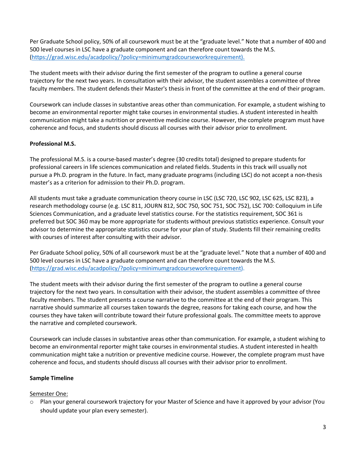Per Graduate School policy, 50% of all coursework must be at the "graduate level." Note that a number of 400 and 500 level courses in LSC have a graduate component and can therefore count towards the M.S. (https://grad.wisc.edu/acadpolicy/?policy=minimumgradcourseworkrequirement).

The student meets with their advisor during the first semester of the program to outline a general course trajectory for the next two years. In consultation with their advisor, the student assembles a committee of three faculty members. The student defends their Master's thesis in front of the committee at the end of their program.

Coursework can include classes in substantive areas other than communication. For example, a student wishing to become an environmental reporter might take courses in environmental studies. A student interested in health communication might take a nutrition or preventive medicine course. However, the complete program must have coherence and focus, and students should discuss all courses with their advisor prior to enrollment.

# **Professional M.S.**

The professional M.S. is a course-based master's degree (30 credits total) designed to prepare students for professional careers in life sciences communication and related fields. Students in this track will usually not pursue a Ph.D. program in the future. In fact, many graduate programs (including LSC) do not accept a non-thesis master's as a criterion for admission to their Ph.D. program.

All students must take a graduate communication theory course in LSC (LSC 720, LSC 902, LSC 625, LSC 823), a research methodology course (e.g. LSC 811, JOURN 812, SOC 750, SOC 751, SOC 752), LSC 700: Colloquium in Life Sciences Communication, and a graduate level statistics course. For the statistics requirement, SOC 361 is preferred but SOC 360 may be more appropriate for students without previous statistics experience. Consult your advisor to determine the appropriate statistics course for your plan of study. Students fill their remaining credits with courses of interest after consulting with their advisor.

Per Graduate School policy, 50% of all coursework must be at the "graduate level." Note that a number of 400 and 500 level courses in LSC have a graduate component and can therefore count towards the M.S. (https://grad.wisc.edu/acadpolicy/?policy=minimumgradcourseworkrequirement).

The student meets with their advisor during the first semester of the program to outline a general course trajectory for the next two years. In consultation with their advisor, the student assembles a committee of three faculty members. The student presents a course narrative to the committee at the end of their program. This narrative should summarize all courses taken towards the degree, reasons for taking each course, and how the courses they have taken will contribute toward their future professional goals. The committee meets to approve the narrative and completed coursework.

Coursework can include classes in substantive areas other than communication. For example, a student wishing to become an environmental reporter might take courses in environmental studies. A student interested in health communication might take a nutrition or preventive medicine course. However, the complete program must have coherence and focus, and students should discuss all courses with their advisor prior to enrollment.

# **Sample Timeline**

# Semester One:

o Plan your general coursework trajectory for your Master of Science and have it approved by your advisor (You should update your plan every semester).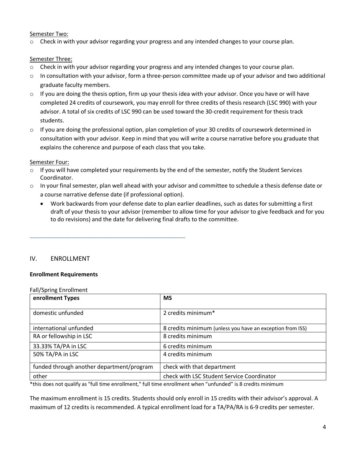#### Semester Two:

Check in with your advisor regarding your progress and any intended changes to your course plan.

#### Semester Three:

- o Check in with your advisor regarding your progress and any intended changes to your course plan.
- $\circ$  In consultation with your advisor, form a three-person committee made up of your advisor and two additional graduate faculty members.
- $\circ$  If you are doing the thesis option, firm up your thesis idea with your advisor. Once you have or will have completed 24 credits of coursework, you may enroll for three credits of thesis research (LSC 990) with your advisor. A total of six credits of LSC 990 can be used toward the 30-credit requirement for thesis track students.
- $\circ$  If you are doing the professional option, plan completion of your 30 credits of coursework determined in consultation with your advisor. Keep in mind that you will write a course narrative before you graduate that explains the coherence and purpose of each class that you take.

#### Semester Four:

- $\circ$  If you will have completed your requirements by the end of the semester, notify the Student Services Coordinator.
- o In your final semester, plan well ahead with your advisor and committee to schedule a thesis defense date or a course narrative defense date (if professional option).
	- Work backwards from your defense date to plan earlier deadlines, such as dates for submitting a first draft of your thesis to your advisor (remember to allow time for your advisor to give feedback and for you to do revisions) and the date for delivering final drafts to the committee.

#### IV. ENROLLMENT

#### **Enrollment Requirements**

\_\_\_\_\_\_\_\_\_\_\_\_\_\_\_\_\_\_\_\_\_\_\_\_\_\_\_\_\_\_\_\_\_\_\_\_\_\_\_\_\_\_\_\_\_\_\_\_\_

#### Fall/Spring Enrollment

| enrollment Types                          | <b>MS</b>                                                 |
|-------------------------------------------|-----------------------------------------------------------|
| domestic unfunded                         | 2 credits minimum*                                        |
| international unfunded                    | 8 credits minimum (unless you have an exception from ISS) |
| RA or fellowship in LSC                   | 8 credits minimum                                         |
| 33.33% TA/PA in LSC                       | 6 credits minimum                                         |
| 50% TA/PA in LSC                          | 4 credits minimum                                         |
| funded through another department/program | check with that department                                |
| other                                     | check with LSC Student Service Coordinator                |

\*this does not qualify as "full time enrollment," full time enrollment when "unfunded" is 8 credits minimum

The maximum enrollment is 15 credits. Students should only enroll in 15 credits with their advisor's approval. A maximum of 12 credits is recommended. A typical enrollment load for a TA/PA/RA is 6-9 credits per semester.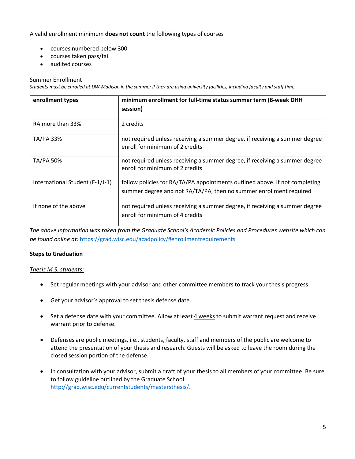### A valid enrollment minimum **does not count** the following types of courses

- courses numbered below 300
- courses taken pass/fail
- audited courses

#### Summer Enrollment

*Students must be enrolled at UW-Madison in the summer if they are using university facilities, including faculty and staff time.*

| enrollment types                | minimum enrollment for full-time status summer term (8-week DHH<br>session)                                                                       |
|---------------------------------|---------------------------------------------------------------------------------------------------------------------------------------------------|
|                                 |                                                                                                                                                   |
| RA more than 33%                | 2 credits                                                                                                                                         |
| TA/PA 33%                       | not required unless receiving a summer degree, if receiving a summer degree<br>enroll for minimum of 2 credits                                    |
| TA/PA 50%                       | not required unless receiving a summer degree, if receiving a summer degree<br>enroll for minimum of 2 credits                                    |
| International Student (F-1/J-1) | follow policies for RA/TA/PA appointments outlined above. If not completing<br>summer degree and not RA/TA/PA, then no summer enrollment required |
| If none of the above            | not required unless receiving a summer degree, if receiving a summer degree<br>enroll for minimum of 4 credits                                    |

*The above information was taken from the Graduate School's Academic Policies and Procedures website which can be found online at:* https://grad.wisc.edu/acadpolicy/#enrollmentrequirements

#### **Steps to Graduation**

#### *Thesis M.S. students:*

- Set regular meetings with your advisor and other committee members to track your thesis progress.
- Get your advisor's approval to set thesis defense date.
- Set a defense date with your committee. Allow at least 4 weeks to submit warrant request and receive warrant prior to defense.
- Defenses are public meetings, i.e., students, faculty, staff and members of the public are welcome to attend the presentation of your thesis and research. Guests will be asked to leave the room during the closed session portion of the defense.
- In consultation with your advisor, submit a draft of your thesis to all members of your committee. Be sure to follow guideline outlined by the Graduate School: http://grad.wisc.edu/currentstudents/mastersthesis/.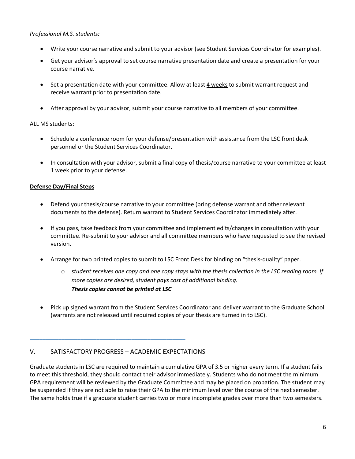### *Professional M.S. students:*

- Write your course narrative and submit to your advisor (see Student Services Coordinator for examples).
- Get your advisor's approval to set course narrative presentation date and create a presentation for your course narrative.
- Set a presentation date with your committee. Allow at least 4 weeks to submit warrant request and receive warrant prior to presentation date.
- After approval by your advisor, submit your course narrative to all members of your committee.

#### ALL MS students:

- Schedule a conference room for your defense/presentation with assistance from the LSC front desk personnel or the Student Services Coordinator.
- In consultation with your advisor, submit a final copy of thesis/course narrative to your committee at least 1 week prior to your defense.

# **Defense Day/Final Steps**

- Defend your thesis/course narrative to your committee (bring defense warrant and other relevant documents to the defense). Return warrant to Student Services Coordinator immediately after.
- If you pass, take feedback from your committee and implement edits/changes in consultation with your committee. Re-submit to your advisor and all committee members who have requested to see the revised version.
- Arrange for two printed copies to submit to LSC Front Desk for binding on "thesis-quality" paper.
	- o *student receives one copy and one copy stays with the thesis collection in the LSC reading room. If more copies are desired, student pays cost of additional binding. Thesis copies cannot be printed at LSC*
- Pick up signed warrant from the Student Services Coordinator and deliver warrant to the Graduate School (warrants are not released until required copies of your thesis are turned in to LSC).

# V. SATISFACTORY PROGRESS – ACADEMIC EXPECTATIONS

\_\_\_\_\_\_\_\_\_\_\_\_\_\_\_\_\_\_\_\_\_\_\_\_\_\_\_\_\_\_\_\_\_\_\_\_\_\_\_\_\_\_\_\_\_\_\_\_\_

Graduate students in LSC are required to maintain a cumulative GPA of 3.5 or higher every term. If a student fails to meet this threshold, they should contact their advisor immediately. Students who do not meet the minimum GPA requirement will be reviewed by the Graduate Committee and may be placed on probation. The student may be suspended if they are not able to raise their GPA to the minimum level over the course of the next semester. The same holds true if a graduate student carries two or more incomplete grades over more than two semesters.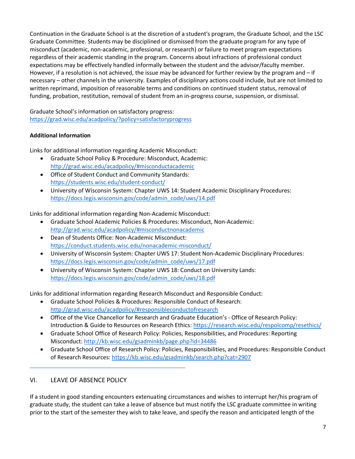Continuation in the Graduate School is at the discretion of a student's program, the Graduate School, and the LSC Graduate Committee. Students may be disciplined or dismissed from the graduate program for any type of misconduct (academic, non-academic, professional, or research) or failure to meet program expectations regardless of their academic standing in the program. Concerns about infractions of professional conduct expectations may be effectively handled informally between the student and the advisor/faculty member. However, if a resolution is not achieved, the issue may be advanced for further review by the program and – if necessary – other channels in the university. Examples of disciplinary actions could include, but are not limited to written reprimand, imposition of reasonable terms and conditions on continued student status, removal of funding, probation, restitution, removal of student from an in-progress course, suspension, or dismissal.

Graduate School's information on satisfactory progress: https://grad.wisc.edu/acadpolicy/?policy=satisfactoryprogress

# **Additional Information**

Links for additional information regarding Academic Misconduct:

- Graduate School Policy & Procedure: Misconduct, Academic: http://grad.wisc.edu/acadpolicy/#misconductacademic
- Office of Student Conduct and Community Standards: https://students.wisc.edu/student-conduct/
- University of Wisconsin System: Chapter UWS 14: Student Academic Disciplinary Procedures: https://docs.legis.wisconsin.gov/code/admin\_code/uws/14.pdf

Links for additional information regarding Non-Academic Misconduct:

- Graduate School Academic Policies & Procedures: Misconduct, Non-Academic: http://grad.wisc.edu/acadpolicy/#misconductnonacademic
- Dean of Students Office: Non-Academic Misconduct: https://conduct.students.wisc.edu/nonacademic-misconduct/
- University of Wisconsin System: Chapter UWS 17: Student Non-Academic Disciplinary Procedures: https://docs.legis.wisconsin.gov/code/admin\_code/uws/17.pdf
- University of Wisconsin System: Chapter UWS 18: Conduct on University Lands: https://docs.legis.wisconsin.gov/code/admin\_code/uws/18.pdf

Links for additional information regarding Research Misconduct and Responsible Conduct:

- Graduate School Policies & Procedures: Responsible Conduct of Research: http://grad.wisc.edu/acadpolicy/#responsibleconductofresearch
- Office of the Vice Chancellor for Research and Graduate Education's Office of Research Policy: Introduction & Guide to Resources on Research Ethics: https://research.wisc.edu/respolcomp/resethics/
- Graduate School Office of Research Policy: Policies, Responsibilities, and Procedures: Reporting Misconduct: http://kb.wisc.edu/gsadminkb/page.php?id=34486
- Graduate School Office of Research Policy: Policies, Responsibilities, and Procedures: Responsible Conduct of Research Resources: https://kb.wisc.edu/gsadminkb/search.php?cat=2907

# VI. LEAVE OF ABSENCE POLICY

\_\_\_\_\_\_\_\_\_\_\_\_\_\_\_\_\_\_\_\_\_\_\_\_\_\_\_\_\_\_\_\_\_\_\_\_\_\_\_\_\_\_\_\_\_\_\_\_\_

If a student in good standing encounters extenuating circumstances and wishes to interrupt her/his program of graduate study, the student can take a leave of absence but must notify the LSC graduate committee in writing prior to the start of the semester they wish to take leave, and specify the reason and anticipated length of the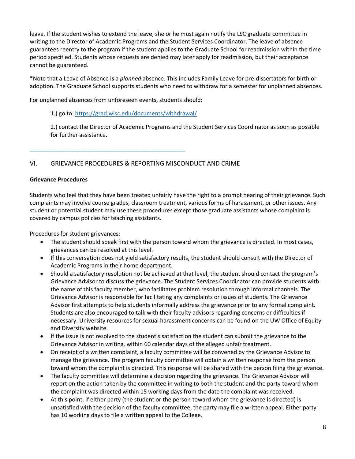leave. If the student wishes to extend the leave, she or he must again notify the LSC graduate committee in writing to the Director of Academic Programs and the Student Services Coordinator. The leave of absence guarantees reentry to the program if the student applies to the Graduate School for readmission within the time period specified. Students whose requests are denied may later apply for readmission, but their acceptance cannot be guaranteed.

\*Note that a Leave of Absence is a *planned* absence. This includes Family Leave for pre-dissertators for birth or adoption. The Graduate School supports students who need to withdraw for a semester for unplanned absences.

For unplanned absences from unforeseen events, students should:

\_\_\_\_\_\_\_\_\_\_\_\_\_\_\_\_\_\_\_\_\_\_\_\_\_\_\_\_\_\_\_\_\_\_\_\_\_\_\_\_\_\_\_\_\_\_\_\_\_

1.) go to: https://grad.wisc.edu/documents/withdrawal/

2.) contact the Director of Academic Programs and the Student Services Coordinator as soon as possible for further assistance.

# VI. GRIEVANCE PROCEDURES & REPORTING MISCONDUCT AND CRIME

#### **Grievance Procedures**

Students who feel that they have been treated unfairly have the right to a prompt hearing of their grievance. Such complaints may involve course grades, classroom treatment, various forms of harassment, or other issues. Any student or potential student may use these procedures except those graduate assistants whose complaint is covered by campus policies for teaching assistants.

Procedures for student grievances:

- The student should speak first with the person toward whom the grievance is directed. In most cases, grievances can be resolved at this level.
- If this conversation does not yield satisfactory results, the student should consult with the Director of Academic Programs in their home department.
- Should a satisfactory resolution not be achieved at that level, the student should contact the program's Grievance Advisor to discuss the grievance. The Student Services Coordinator can provide students with the name of this faculty member, who facilitates problem resolution through informal channels. The Grievance Advisor is responsible for facilitating any complaints or issues of students. The Grievance Advisor first attempts to help students informally address the grievance prior to any formal complaint. Students are also encouraged to talk with their faculty advisors regarding concerns or difficulties if necessary. University resources for sexual harassment concerns can be found on the UW Office of Equity and Diversity website.
- If the issue is not resolved to the student's satisfaction the student can submit the grievance to the Grievance Advisor in writing, within 60 calendar days of the alleged unfair treatment.
- On receipt of a written complaint, a faculty committee will be convened by the Grievance Advisor to manage the grievance. The program faculty committee will obtain a written response from the person toward whom the complaint is directed. This response will be shared with the person filing the grievance.
- The faculty committee will determine a decision regarding the grievance. The Grievance Advisor will report on the action taken by the committee in writing to both the student and the party toward whom the complaint was directed within 15 working days from the date the complaint was received.
- At this point, if either party (the student or the person toward whom the grievance is directed) is unsatisfied with the decision of the faculty committee, the party may file a written appeal. Either party has 10 working days to file a written appeal to the College.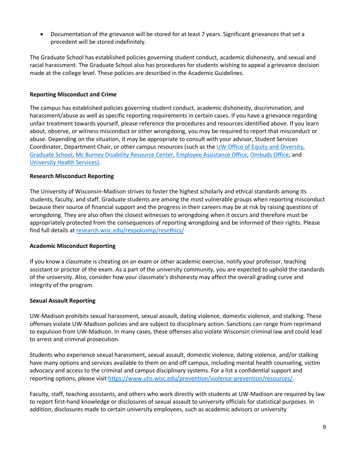• Documentation of the grievance will be stored for at least 7 years. Significant grievances that set a precedent will be stored indefinitely.

The Graduate School has established policies governing student conduct, academic dishonesty, and sexual and racial harassment. The Graduate School also has procedures for students wishing to appeal a grievance decision made at the college level. These policies are described in the Academic Guidelines.

# **Reporting Misconduct and Crime**

The campus has established policies governing student conduct, academic dishonesty, discrimination, and harassment/abuse as well as specific reporting requirements in certain cases. If you have a grievance regarding unfair treatment towards yourself, please reference the procedures and resources identified above. If you learn about, observe, or witness misconduct or other wrongdoing, you may be required to report that misconduct or abuse. Depending on the situation, it may be appropriate to consult with your advisor, Student Services Coordinator, Department Chair, or other campus resources (such as the UW Office of Equity and Diversity, Graduate School, Mc Burney Disability Resource Center, Employee Assistance Office, Ombuds Office, and University Health Services).

### **Research Misconduct Reporting**

The University of Wisconsin-Madison strives to foster the highest scholarly and ethical standards among its students, faculty, and staff. Graduate students are among the most vulnerable groups when reporting misconduct because their source of financial support and the progress in their careers may be at risk by raising questions of wrongdoing. They are also often the closest witnesses to wrongdoing when it occurs and therefore must be appropriately protected from the consequences of reporting wrongdoing and be informed of their rights. Please find full details at research.wisc.edu/respolcomp/resethics/

#### **Academic Misconduct Reporting**

If you know a classmate is cheating on an exam or other academic exercise, notify your professor, teaching assistant or proctor of the exam. As a part of the university community, you are expected to uphold the standards of the university. Also, consider how your classmate's dishonesty may affect the overall grading curve and integrity of the program.

#### **Sexual Assault Reporting**

UW-Madison prohibits sexual harassment, sexual assault, dating violence, domestic violence, and stalking. These offenses violate UW-Madison policies and are subject to disciplinary action. Sanctions can range from reprimand to expulsion from UW-Madison. In many cases, these offenses also violate Wisconsin criminal law and could lead to arrest and criminal prosecution.

Students who experience sexual harassment, sexual assault, domestic violence, dating violence, and/or stalking have many options and services available to them on and off campus, including mental health counseling, victim advocacy and access to the criminal and campus disciplinary systems. For a list a confidential support and reporting options, please visit https://www.uhs.wisc.edu/prevention/violence-prevention/resources/.

Faculty, staff, teaching assistants, and others who work directly with students at UW-Madison are required by law to report first-hand knowledge or disclosures of sexual assault to university officials for statistical purposes. In addition, disclosures made to certain university employees, such as academic advisors or university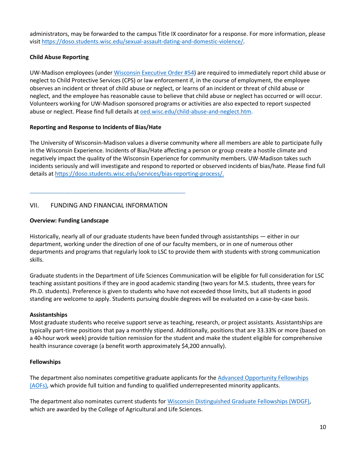administrators, may be forwarded to the campus Title IX coordinator for a response. For more information, please visit https://doso.students.wisc.edu/sexual-assault-dating-and-domestic-violence/.

# **Child Abuse Reporting**

UW-Madison employees (under Wisconsin Executive Order #54) are required to immediately report child abuse or neglect to Child Protective Services (CPS) or law enforcement if, in the course of employment, the employee observes an incident or threat of child abuse or neglect, or learns of an incident or threat of child abuse or neglect, and the employee has reasonable cause to believe that child abuse or neglect has occurred or will occur. Volunteers working for UW-Madison sponsored programs or activities are also expected to report suspected abuse or neglect. Please find full details at **oed.wisc.edu/child-abuse-and-neglect.htm.** 

# **Reporting and Response to Incidents of Bias/Hate**

The University of Wisconsin-Madison values a diverse community where all members are able to participate fully in the Wisconsin Experience. Incidents of Bias/Hate affecting a person or group create a hostile climate and negatively impact the quality of the Wisconsin Experience for community members. UW-Madison takes such incidents seriously and will investigate and respond to reported or observed incidents of bias/hate. Please find full details at https://doso.students.wisc.edu/services/bias-reporting-process/.

# VII. FUNDING AND FINANCIAL INFORMATION

\_\_\_\_\_\_\_\_\_\_\_\_\_\_\_\_\_\_\_\_\_\_\_\_\_\_\_\_\_\_\_\_\_\_\_\_\_\_\_\_\_\_\_\_\_\_\_\_\_

# **Overview: Funding Landscape**

Historically, nearly all of our graduate students have been funded through assistantships — either in our department, working under the direction of one of our faculty members, or in one of numerous other departments and programs that regularly look to LSC to provide them with students with strong communication skills.

Graduate students in the Department of Life Sciences Communication will be eligible for full consideration for LSC teaching assistant positions if they are in good academic standing (two years for M.S. students, three years for Ph.D. students). Preference is given to students who have not exceeded those limits, but all students in good standing are welcome to apply. Students pursuing double degrees will be evaluated on a case-by-case basis.

# **Assistantships**

Most graduate students who receive support serve as teaching, research, or project assistants. Assistantships are typically part-time positions that pay a monthly stipend. Additionally, positions that are 33.33% or more (based on a 40-hour work week) provide tuition remission for the student and make the student eligible for comprehensive health insurance coverage (a benefit worth approximately \$4,200 annually).

# **Fellowships**

The department also nominates competitive graduate applicants for the Advanced Opportunity Fellowships (AOFs), which provide full tuition and funding to qualified underrepresented minority applicants.

The department also nominates current students for Wisconsin Distinguished Graduate Fellowships (WDGF), which are awarded by the College of Agricultural and Life Sciences.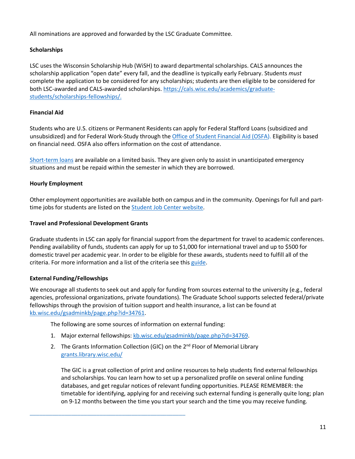All nominations are approved and forwarded by the LSC Graduate Committee.

# **Scholarships**

LSC uses the Wisconsin Scholarship Hub (WiSH) to award departmental scholarships. CALS announces the scholarship application "open date" every fall, and the deadline is typically early February. Students *must* complete the application to be considered for any scholarships; students are then eligible to be considered for both LSC-awarded and CALS-awarded scholarships. https://cals.wisc.edu/academics/graduatestudents/scholarships-fellowships/.

#### **Financial Aid**

Students who are U.S. citizens or Permanent Residents can apply for Federal Stafford Loans (subsidized and unsubsidized) and for Federal Work-Study through the Office of Student Financial Aid (OSFA). Eligibility is based on financial need. OSFA also offers information on the cost of attendance.

Short-term loans are available on a limited basis. They are given only to assist in unanticipated emergency situations and must be repaid within the semester in which they are borrowed.

### **Hourly Employment**

Other employment opportunities are available both on campus and in the community. Openings for full and parttime jobs for students are listed on the **Student Job Center website**.

#### **Travel and Professional Development Grants**

Graduate students in LSC can apply for financial support from the department for travel to academic conferences. Pending availability of funds, students can apply for up to \$1,000 for international travel and up to \$500 for domestic travel per academic year. In order to be eligible for these awards, students need to fulfill all of the criteria. For more information and a list of the criteria see this guide.

#### **External Funding/Fellowships**

We encourage all students to seek out and apply for funding from sources external to the university (e.g., federal agencies, professional organizations, private foundations). The Graduate School supports selected federal/private fellowships through the provision of tuition support and health insurance, a list can be found at kb.wisc.edu/gsadminkb/page.php?id=34761.

The following are some sources of information on external funding:

\_\_\_\_\_\_\_\_\_\_\_\_\_\_\_\_\_\_\_\_\_\_\_\_\_\_\_\_\_\_\_\_\_\_\_\_\_\_\_\_\_\_\_\_\_\_\_\_\_

- 1. Major external fellowships: kb.wisc.edu/gsadminkb/page.php?id=34769.
- 2. The Grants Information Collection (GIC) on the  $2^{nd}$  Floor of Memorial Library grants.library.wisc.edu/

The GIC is a great collection of print and online resources to help students find external fellowships and scholarships. You can learn how to set up a personalized profile on several online funding databases, and get regular notices of relevant funding opportunities. PLEASE REMEMBER: the timetable for identifying, applying for and receiving such external funding is generally quite long; plan on 9-12 months between the time you start your search and the time you may receive funding.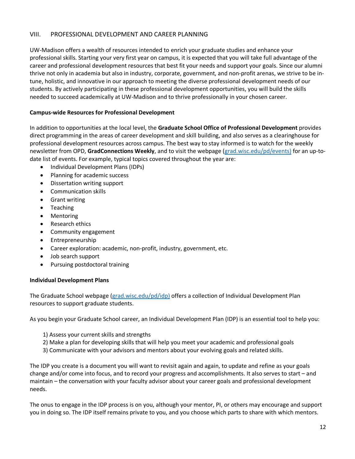# VIII. PROFESSIONAL DEVELOPMENT AND CAREER PLANNING

UW-Madison offers a wealth of resources intended to enrich your graduate studies and enhance your professional skills. Starting your very first year on campus, it is expected that you will take full advantage of the career and professional development resources that best fit your needs and support your goals. Since our alumni thrive not only in academia but also in industry, corporate, government, and non-profit arenas, we strive to be intune, holistic, and innovative in our approach to meeting the diverse professional development needs of our students. By actively participating in these professional development opportunities, you will build the skills needed to succeed academically at UW-Madison and to thrive professionally in your chosen career.

### **Campus-wide Resources for Professional Development**

In addition to opportunities at the local level, the **Graduate School Office of Professional Development** provides direct programming in the areas of career development and skill building, and also serves as a clearinghouse for professional development resources across campus. The best way to stay informed is to watch for the weekly newsletter from OPD, **GradConnections Weekly**, and to visit the webpage (grad.wisc.edu/pd/events) for an up-todate list of events. For example, typical topics covered throughout the year are:

- Individual Development Plans (IDPs)
- Planning for academic success
- Dissertation writing support
- Communication skills
- Grant writing
- Teaching
- **Mentoring**
- Research ethics
- Community engagement
- Entrepreneurship
- Career exploration: academic, non-profit, industry, government, etc.
- Job search support
- Pursuing postdoctoral training

#### **Individual Development Plans**

The Graduate School webpage (grad.wisc.edu/pd/idp) offers a collection of Individual Development Plan resources to support graduate students.

As you begin your Graduate School career, an Individual Development Plan (IDP) is an essential tool to help you:

- 1) Assess your current skills and strengths
- 2) Make a plan for developing skills that will help you meet your academic and professional goals
- 3) Communicate with your advisors and mentors about your evolving goals and related skills.

The IDP you create is a document you will want to revisit again and again, to update and refine as your goals change and/or come into focus, and to record your progress and accomplishments. It also serves to start – and maintain – the conversation with your faculty advisor about your career goals and professional development needs.

The onus to engage in the IDP process is on you, although your mentor, PI, or others may encourage and support you in doing so. The IDP itself remains private to you, and you choose which parts to share with which mentors.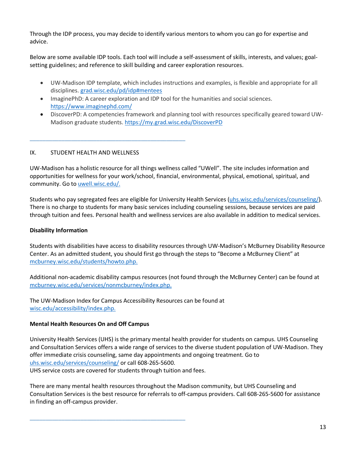Through the IDP process, you may decide to identify various mentors to whom you can go for expertise and advice.

Below are some available IDP tools. Each tool will include a self-assessment of skills, interests, and values; goalsetting guidelines; and reference to skill building and career exploration resources.

- UW-Madison IDP template, which includes instructions and examples, is flexible and appropriate for all disciplines. grad.wisc.edu/pd/idp#mentees
- ImaginePhD: A career exploration and IDP tool for the humanities and social sciences. https://www.imaginephd.com/
- DiscoverPD: A competencies framework and planning tool with resources specifically geared toward UW-Madison graduate students. https://my.grad.wisc.edu/DiscoverPD

# IX. STUDENT HEALTH AND WELLNESS

\_\_\_\_\_\_\_\_\_\_\_\_\_\_\_\_\_\_\_\_\_\_\_\_\_\_\_\_\_\_\_\_\_\_\_\_\_\_\_\_\_\_\_\_\_\_\_\_\_

UW-Madison has a holistic resource for all things wellness called "UWell". The site includes information and opportunities for wellness for your work/school, financial, environmental, physical, emotional, spiritual, and community. Go to uwell.wisc.edu/.

Students who pay segregated fees are eligible for University Health Services (uhs.wisc.edu/services/counseling/). There is no charge to students for many basic services including counseling sessions, because services are paid through tuition and fees. Personal health and wellness services are also available in addition to medical services.

#### **Disability Information**

Students with disabilities have access to disability resources through UW-Madison's McBurney Disability Resource Center. As an admitted student, you should first go through the steps to "Become a McBurney Client" at mcburney.wisc.edu/students/howto.php.

Additional non-academic disability campus resources (not found through the McBurney Center) can be found at mcburney.wisc.edu/services/nonmcburney/index.php.

The UW-Madison Index for Campus Accessibility Resources can be found at wisc.edu/accessibility/index.php.

#### **Mental Health Resources On and Off Campus**

\_\_\_\_\_\_\_\_\_\_\_\_\_\_\_\_\_\_\_\_\_\_\_\_\_\_\_\_\_\_\_\_\_\_\_\_\_\_\_\_\_\_\_\_\_\_\_\_\_

University Health Services (UHS) is the primary mental health provider for students on campus. UHS Counseling and Consultation Services offers a wide range of services to the diverse student population of UW-Madison. They offer immediate crisis counseling, same day appointments and ongoing treatment. Go to uhs.wisc.edu/services/counseling/ or call 608-265-5600. UHS service costs are covered for students through tuition and fees.

There are many mental health resources throughout the Madison community, but UHS Counseling and Consultation Services is the best resource for referrals to off-campus providers. Call 608-265-5600 for assistance in finding an off-campus provider.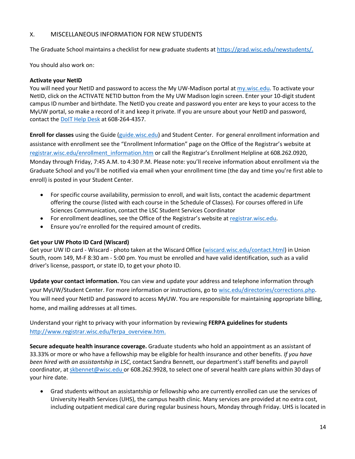# X. MISCELLANEOUS INFORMATION FOR NEW STUDENTS

The Graduate School maintains a checklist for new graduate students at https://grad.wisc.edu/newstudents/.

You should also work on:

### **Activate your NetID**

You will need your NetID and password to access the My UW-Madison portal at my.wisc.edu. To activate your NetID, click on the ACTIVATE NETID button from the My UW Madison login screen. Enter your 10-digit student campus ID number and birthdate. The NetID you create and password you enter are keys to your access to the MyUW portal, so make a record of it and keep it private. If you are unsure about your NetID and password, contact the DoIT Help Desk at 608-264-4357.

**Enroll for classes** using the Guide (guide.wisc.edu) and Student Center. For general enrollment information and assistance with enrollment see the "Enrollment Information" page on the Office of the Registrar's website at registrar.wisc.edu/enrollment\_information.htm or call the Registrar's Enrollment Helpline at 608.262.0920, Monday through Friday, 7:45 A.M. to 4:30 P.M. Please note: you'll receive information about enrollment via the Graduate School and you'll be notified via email when your enrollment time (the day and time you're first able to enroll) is posted in your Student Center.

- For specific course availability, permission to enroll, and wait lists, contact the academic department offering the course (listed with each course in the Schedule of Classes). For courses offered in Life Sciences Communication, contact the LSC Student Services Coordinator
- For enrollment deadlines, see the Office of the Registrar's website at registrar.wisc.edu.
- Ensure you're enrolled for the required amount of credits.

# **Get your UW Photo ID Card (Wiscard)**

Get your UW ID card - Wiscard - photo taken at the Wiscard Office (wiscard.wisc.edu/contact.html) in Union South, room 149, M-F 8:30 am - 5:00 pm. You must be enrolled and have valid identification, such as a valid driver's license, passport, or state ID, to get your photo ID.

**Update your contact information.** You can view and update your address and telephone information through your MyUW/Student Center. For more information or instructions, go to wisc.edu/directories/corrections.php. You will need your NetID and password to access MyUW. You are responsible for maintaining appropriate billing, home, and mailing addresses at all times.

Understand your right to privacy with your information by reviewing **FERPA guidelines for students**  http://www.registrar.wisc.edu/ferpa\_overview.htm.

**Secure adequate health insurance coverage.** Graduate students who hold an appointment as an assistant of 33.33% or more or who have a fellowship may be eligible for health insurance and other benefits. *If you have been hired with an assistantship in LSC*, contact Sandra Bennett, our department's staff benefits and payroll coordinator, at skbennet@wisc.edu or 608.262.9928, to select one of several health care plans within 30 days of your hire date.

• Grad students without an assistantship or fellowship who are currently enrolled can use the services of University Health Services (UHS), the campus health clinic. Many services are provided at no extra cost, including outpatient medical care during regular business hours, Monday through Friday. UHS is located in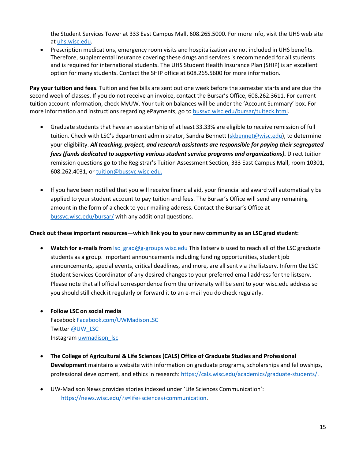the Student Services Tower at 333 East Campus Mall, 608.265.5000. For more info, visit the UHS web site at uhs.wisc.edu.

• Prescription medications, emergency room visits and hospitalization are not included in UHS benefits. Therefore, supplemental insurance covering these drugs and services is recommended for all students and is required for international students. The UHS Student Health Insurance Plan (SHIP) is an excellent option for many students. Contact the SHIP office at 608.265.5600 for more information.

**Pay your tuition and fees**. Tuition and fee bills are sent out one week before the semester starts and are due the second week of classes. If you do not receive an invoice, contact the Bursar's Office, 608.262.3611. For current tuition account information, check MyUW. Your tuition balances will be under the 'Account Summary' box. For more information and instructions regarding ePayments, go to bussvc.wisc.edu/bursar/tuiteck.html.

- Graduate students that have an assistantship of at least 33.33% are eligible to receive remission of full tuition. Check with LSC's department administrator, Sandra Bennett (skbennet@wisc.edu), to determine your eligibility. *All teaching, project, and research assistants are responsible for paying their segregated fees (funds dedicated to supporting various student service programs and organizations).* Direct tuition remission questions go to the Registrar's Tuition Assessment Section, 333 East Campus Mall, room 10301, 608.262.4031, or tuition@bussvc.wisc.edu.
- If you have been notified that you will receive financial aid, your financial aid award will automatically be applied to your student account to pay tuition and fees. The Bursar's Office will send any remaining amount in the form of a check to your mailing address. Contact the Bursar's Office at bussvc.wisc.edu/bursar/ with any additional questions.

# **Check out these important resources—which link you to your new community as an LSC grad student:**

- Watch for e-mails from **lsc\_grad@g-groups.wisc.edu** This listserv is used to reach all of the LSC graduate students as a group. Important announcements including funding opportunities, student job announcements, special events, critical deadlines, and more, are all sent via the listserv. Inform the LSC Student Services Coordinator of any desired changes to your preferred email address for the listserv. Please note that all official correspondence from the university will be sent to your wisc.edu address so you should still check it regularly or forward it to an e-mail you do check regularly.
- **Follow LSC on social media**  Facebook Facebook.com/UWMadisonLSC Twitter @UW\_LSC Instagram uwmadison Isc
- **The College of Agricultural & Life Sciences (CALS) Office of Graduate Studies and Professional Development** maintains a website with information on graduate programs, scholarships and fellowships, professional development, and ethics in research: https://cals.wisc.edu/academics/graduate-students/.
- UW-Madison News provides stories indexed under 'Life Sciences Communication': https://news.wisc.edu/?s=life+sciences+communication.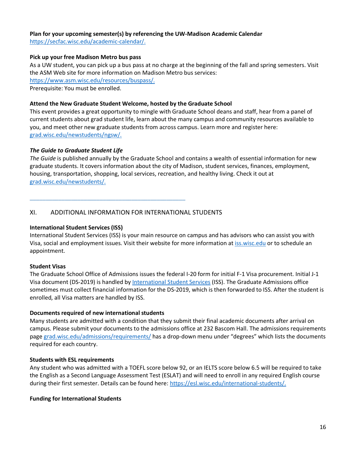#### **Plan for your upcoming semester(s) by referencing the UW-Madison Academic Calendar**

https://secfac.wisc.edu/academic-calendar/.

#### **Pick up your free Madison Metro bus pass**

As a UW student, you can pick up a bus pass at no charge at the beginning of the fall and spring semesters. Visit the ASM Web site for more information on Madison Metro bus services:

https://www.asm.wisc.edu/resources/buspass/.

Prerequisite: You must be enrolled.

#### **Attend the New Graduate Student Welcome, hosted by the Graduate School**

This event provides a great opportunity to mingle with Graduate School deans and staff, hear from a panel of current students about grad student life, learn about the many campus and community resources available to you, and meet other new graduate students from across campus. Learn more and register here: grad.wisc.edu/newstudents/ngsw/.

### *The Guide to Graduate Student Life*

*The Guide* is published annually by the Graduate School and contains a wealth of essential information for new graduate students. It covers information about the city of Madison, student services, finances, employment, housing, transportation, shopping, local services, recreation, and healthy living. Check it out at grad.wisc.edu/newstudents/.

# XI. ADDITIONAL INFORMATION FOR INTERNATIONAL STUDENTS

\_\_\_\_\_\_\_\_\_\_\_\_\_\_\_\_\_\_\_\_\_\_\_\_\_\_\_\_\_\_\_\_\_\_\_\_\_\_\_\_\_\_\_\_\_\_\_\_\_

#### **International Student Services (ISS)**

International Student Services (ISS) is your main resource on campus and has advisors who can assist you with Visa, social and employment issues. Visit their website for more information at iss.wisc.edu or to schedule an appointment.

#### **Student Visas**

The Graduate School Office of Admissions issues the federal I-20 form for initial F-1 Visa procurement. Initial J-1 Visa document (DS-2019) is handled by International Student Services (ISS). The Graduate Admissions office sometimes must collect financial information for the DS-2019, which is then forwarded to ISS. After the student is enrolled, all Visa matters are handled by ISS.

#### **Documents required of new international students**

Many students are admitted with a condition that they submit their final academic documents after arrival on campus. Please submit your documents to the admissions office at 232 Bascom Hall. The admissions requirements page grad.wisc.edu/admissions/requirements/ has a drop-down menu under "degrees" which lists the documents required for each country.

#### **Students with ESL requirements**

Any student who was admitted with a TOEFL score below 92, or an IELTS score below 6.5 will be required to take the English as a Second Language Assessment Test (ESLAT) and will need to enroll in any required English course during their first semester. Details can be found here: https://esl.wisc.edu/international-students/.

# **Funding for International Students**